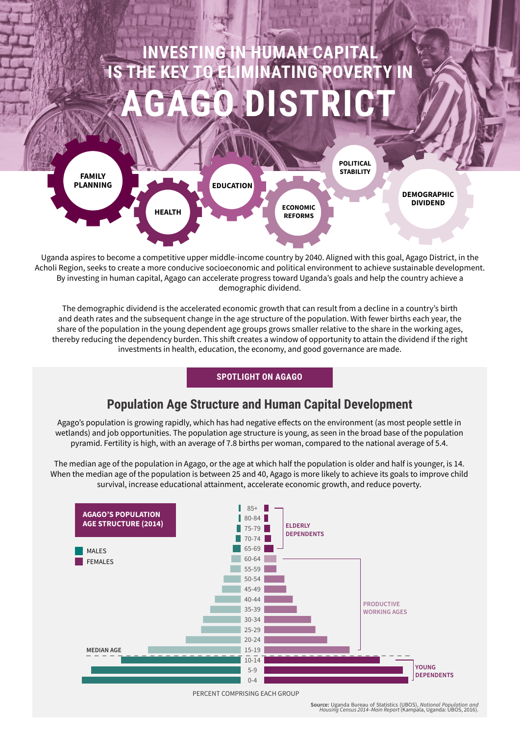# **INVESTING IN HUMAN CAPITAL IS THE KEY TO ELIMINATING POVERTY IN AGAGO DISTRICT**



Uganda aspires to become a competitive upper middle-income country by 2040. Aligned with this goal, Agago District, in the Acholi Region, seeks to create a more conducive socioeconomic and political environment to achieve sustainable development. By investing in human capital, Agago can accelerate progress toward Uganda's goals and help the country achieve a demographic dividend.

The demographic dividend is the accelerated economic growth that can result from a decline in a country's birth and death rates and the subsequent change in the age structure of the population. With fewer births each year, the share of the population in the young dependent age groups grows smaller relative to the share in the working ages, thereby reducing the dependency burden. This shift creates a window of opportunity to attain the dividend if the right investments in health, education, the economy, and good governance are made.

## **SPOTLIGHT ON AGAGO**

# **Population Age Structure and Human Capital Development**

Agago's population is growing rapidly, which has had negative effects on the environment (as most people settle in wetlands) and job opportunities. The population age structure is young, as seen in the broad base of the population pyramid. Fertility is high, with an average of 7.8 births per woman, compared to the national average of 5.4.

The median age of the population in Agago, or the age at which half the population is older and half is younger, is 14. When the median age of the population is between 25 and 40, Agago is more likely to achieve its goals to improve child survival, increase educational attainment, accelerate economic growth, and reduce poverty.



PERCENT COMPRISING EACH GROUP

**Source:** Uganda Bureau of Statistics (UBOS), *National Population and Housing Census 2014–Main Report* (Kampala, Uganda: UBOS, 2016).